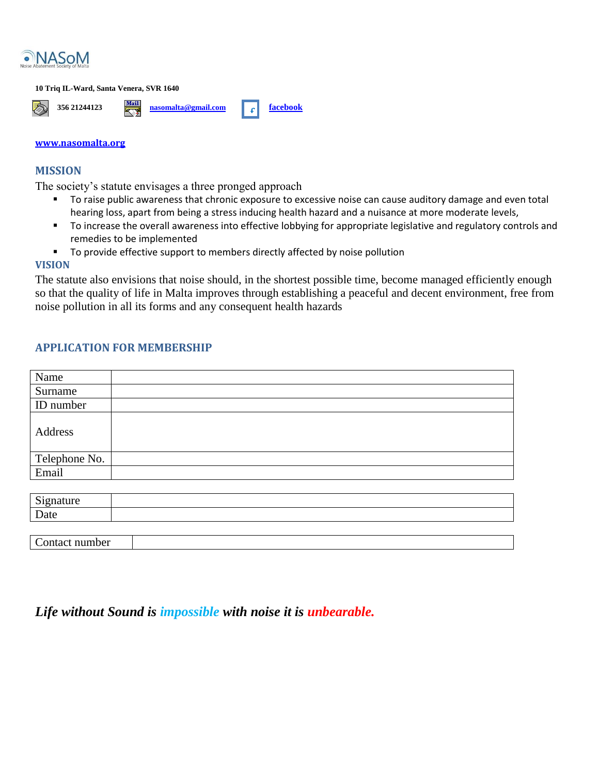

#### **10 Triq IL-Ward, Santa Venera, SVR 1640**



#### **[www.nasomalta.org](http://www.nasomalta.org/)**

### **MISSION**

The society's statute envisages a three pronged approach

- To raise public awareness that chronic exposure to excessive noise can cause auditory damage and even total hearing loss, apart from being a stress inducing health hazard and a nuisance at more moderate levels,
- To increase the overall awareness into effective lobbying for appropriate legislative and regulatory controls and remedies to be implemented
- **The To provide effective support to members directly affected by noise pollution**

### **VISION**

The statute also envisions that noise should, in the shortest possible time, become managed efficiently enough so that the quality of life in Malta improves through establishing a peaceful and decent environment, free from noise pollution in all its forms and any consequent health hazards

## **APPLICATION FOR MEMBERSHIP**

| Name          |  |
|---------------|--|
| Surname       |  |
| ID number     |  |
| Address       |  |
| Telephone No. |  |
| Email         |  |
|               |  |
| Signature     |  |
| Date          |  |

Contact number

# *Life without Sound is impossible with noise it is unbearable.*